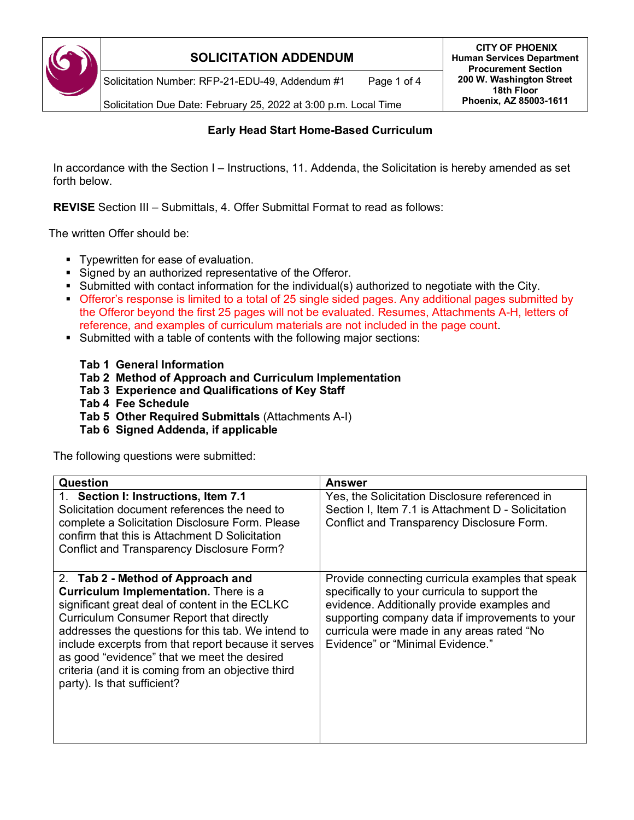

Solicitation Number: RFP-21-EDU-49, Addendum #1 Page 1 of 4

**CITY OF PHOENIX Human Services Department Procurement Section 200 W. Washington Street 18th Floor Phoenix, AZ 85003-1611**

Solicitation Due Date: February 25, 2022 at 3:00 p.m. Local Time

#### **Early Head Start Home-Based Curriculum**

In accordance with the Section I – Instructions, 11. Addenda, the Solicitation is hereby amended as set forth below.

**REVISE** Section III – Submittals, 4. Offer Submittal Format to read as follows:

The written Offer should be:

- **Typewritten for ease of evaluation.**
- Signed by an authorized representative of the Offeror.
- Submitted with contact information for the individual(s) authorized to negotiate with the City.
- Offeror's response is limited to a total of 25 single sided pages. Any additional pages submitted by the Offeror beyond the first 25 pages will not be evaluated. Resumes, Attachments A-H, letters of reference, and examples of curriculum materials are not included in the page count.
- Submitted with a table of contents with the following major sections:
	- **Tab 1 General Information**
	- **Tab 2 Method of Approach and Curriculum Implementation**
	- **Tab 3 Experience and Qualifications of Key Staff**
	- **Tab 4 Fee Schedule**
	- **Tab 5 Other Required Submittals** (Attachments A-I)
	- **Tab 6 Signed Addenda, if applicable**

The following questions were submitted:

| Question                                                                                                                                                                                                                                                                                                                                                                                                                                | <b>Answer</b>                                                                                                                                                                                                                                                                         |
|-----------------------------------------------------------------------------------------------------------------------------------------------------------------------------------------------------------------------------------------------------------------------------------------------------------------------------------------------------------------------------------------------------------------------------------------|---------------------------------------------------------------------------------------------------------------------------------------------------------------------------------------------------------------------------------------------------------------------------------------|
| 1. Section I: Instructions, Item 7.1<br>Solicitation document references the need to<br>complete a Solicitation Disclosure Form. Please<br>confirm that this is Attachment D Solicitation<br><b>Conflict and Transparency Disclosure Form?</b>                                                                                                                                                                                          | Yes, the Solicitation Disclosure referenced in<br>Section I, Item 7.1 is Attachment D - Solicitation<br>Conflict and Transparency Disclosure Form.                                                                                                                                    |
| 2. Tab 2 - Method of Approach and<br><b>Curriculum Implementation.</b> There is a<br>significant great deal of content in the ECLKC<br><b>Curriculum Consumer Report that directly</b><br>addresses the questions for this tab. We intend to<br>include excerpts from that report because it serves<br>as good "evidence" that we meet the desired<br>criteria (and it is coming from an objective third<br>party). Is that sufficient? | Provide connecting curricula examples that speak<br>specifically to your curricula to support the<br>evidence. Additionally provide examples and<br>supporting company data if improvements to your<br>curricula were made in any areas rated "No<br>Evidence" or "Minimal Evidence." |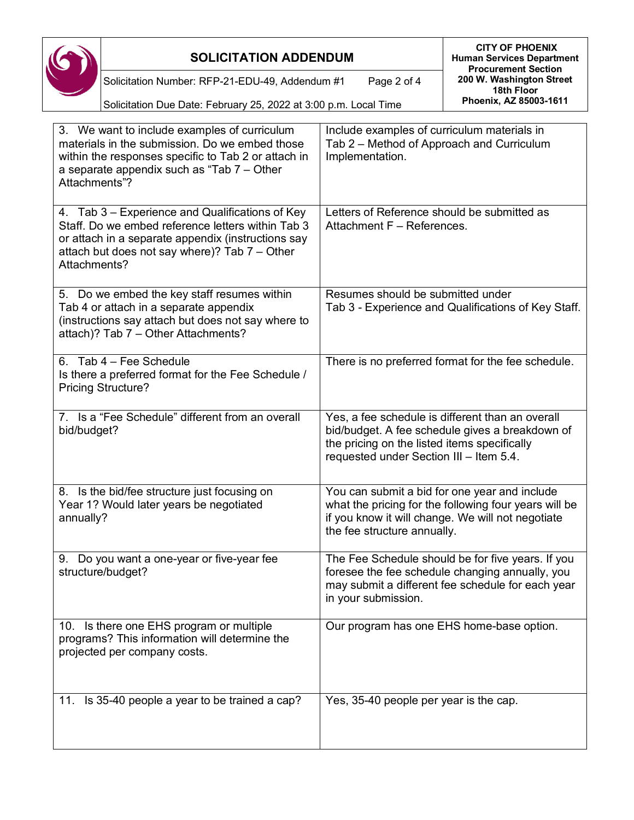

**CITY OF PHOENIX Human Services Department Procurement Section 200 W. Washington Street 18th Floor Phoenix, AZ 85003-1611**

Solicitation Number: RFP-21-EDU-49, Addendum #1 Page 2 of 4

Solicitation Due Date: February 25, 2022 at 3:00 p.m. Local Time

| 3. We want to include examples of curriculum<br>materials in the submission. Do we embed those<br>within the responses specific to Tab 2 or attach in<br>a separate appendix such as "Tab 7 – Other<br>Attachments"?        | Include examples of curriculum materials in<br>Tab 2 – Method of Approach and Curriculum<br>Implementation.                                                                                    |
|-----------------------------------------------------------------------------------------------------------------------------------------------------------------------------------------------------------------------------|------------------------------------------------------------------------------------------------------------------------------------------------------------------------------------------------|
| 4. Tab 3 – Experience and Qualifications of Key<br>Staff. Do we embed reference letters within Tab 3<br>or attach in a separate appendix (instructions say<br>attach but does not say where)? Tab 7 - Other<br>Attachments? | Letters of Reference should be submitted as<br>Attachment F - References.                                                                                                                      |
| 5. Do we embed the key staff resumes within<br>Tab 4 or attach in a separate appendix<br>(instructions say attach but does not say where to<br>attach)? Tab 7 - Other Attachments?                                          | Resumes should be submitted under<br>Tab 3 - Experience and Qualifications of Key Staff.                                                                                                       |
| 6. Tab 4 - Fee Schedule<br>Is there a preferred format for the Fee Schedule /<br><b>Pricing Structure?</b>                                                                                                                  | There is no preferred format for the fee schedule.                                                                                                                                             |
| 7. Is a "Fee Schedule" different from an overall<br>bid/budget?                                                                                                                                                             | Yes, a fee schedule is different than an overall<br>bid/budget. A fee schedule gives a breakdown of<br>the pricing on the listed items specifically<br>requested under Section III - Item 5.4. |
| 8. Is the bid/fee structure just focusing on<br>Year 1? Would later years be negotiated<br>annually?                                                                                                                        | You can submit a bid for one year and include<br>what the pricing for the following four years will be<br>if you know it will change. We will not negotiate<br>the fee structure annually.     |
| 9. Do you want a one-year or five-year fee<br>structure/budget?                                                                                                                                                             | The Fee Schedule should be for five years. If you<br>foresee the fee schedule changing annually, you<br>may submit a different fee schedule for each year<br>in your submission.               |
| 10. Is there one EHS program or multiple<br>programs? This information will determine the<br>projected per company costs.                                                                                                   | Our program has one EHS home-base option.                                                                                                                                                      |
| 11. Is 35-40 people a year to be trained a cap?                                                                                                                                                                             | Yes, 35-40 people per year is the cap.                                                                                                                                                         |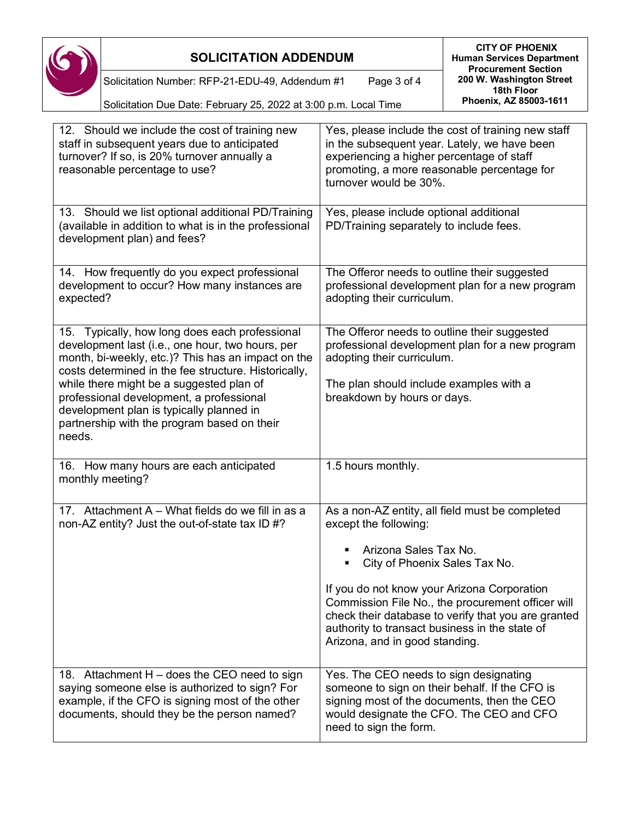

**CITY OF PHOENIX Human Services Department Procurement Section 200 W. Washington Street 18th Floor Phoenix, AZ 85003-1611**

Solicitation Number: RFP-21-EDU-49, Addendum #1 Page 3 of 4

Solicitation Due Date: February 25, 2022 at 3:00 p.m. Local Time

| 12. Should we include the cost of training new<br>staff in subsequent years due to anticipated<br>turnover? If so, is 20% turnover annually a<br>reasonable percentage to use?                                                                                                                                                                                                                      | Yes, please include the cost of training new staff<br>in the subsequent year. Lately, we have been<br>experiencing a higher percentage of staff<br>promoting, a more reasonable percentage for<br>turnover would be 30%.                    |
|-----------------------------------------------------------------------------------------------------------------------------------------------------------------------------------------------------------------------------------------------------------------------------------------------------------------------------------------------------------------------------------------------------|---------------------------------------------------------------------------------------------------------------------------------------------------------------------------------------------------------------------------------------------|
| 13. Should we list optional additional PD/Training<br>(available in addition to what is in the professional<br>development plan) and fees?                                                                                                                                                                                                                                                          | Yes, please include optional additional<br>PD/Training separately to include fees.                                                                                                                                                          |
| 14. How frequently do you expect professional<br>development to occur? How many instances are<br>expected?                                                                                                                                                                                                                                                                                          | The Offeror needs to outline their suggested<br>professional development plan for a new program<br>adopting their curriculum.                                                                                                               |
| 15. Typically, how long does each professional<br>development last (i.e., one hour, two hours, per<br>month, bi-weekly, etc.)? This has an impact on the<br>costs determined in the fee structure. Historically,<br>while there might be a suggested plan of<br>professional development, a professional<br>development plan is typically planned in<br>partnership with the program based on their | The Offeror needs to outline their suggested<br>professional development plan for a new program<br>adopting their curriculum.<br>The plan should include examples with a<br>breakdown by hours or days.                                     |
| needs.                                                                                                                                                                                                                                                                                                                                                                                              |                                                                                                                                                                                                                                             |
| 16. How many hours are each anticipated<br>monthly meeting?                                                                                                                                                                                                                                                                                                                                         | 1.5 hours monthly.                                                                                                                                                                                                                          |
| 17. Attachment A - What fields do we fill in as a<br>non-AZ entity? Just the out-of-state tax ID #?                                                                                                                                                                                                                                                                                                 | As a non-AZ entity, all field must be completed<br>except the following:                                                                                                                                                                    |
|                                                                                                                                                                                                                                                                                                                                                                                                     | Arizona Sales Tax No.<br>City of Phoenix Sales Tax No.                                                                                                                                                                                      |
|                                                                                                                                                                                                                                                                                                                                                                                                     | If you do not know your Arizona Corporation<br>Commission File No., the procurement officer will<br>check their database to verify that you are granted<br>authority to transact business in the state of<br>Arizona, and in good standing. |
| 18. Attachment H - does the CEO need to sign<br>saying someone else is authorized to sign? For<br>example, if the CFO is signing most of the other<br>documents, should they be the person named?                                                                                                                                                                                                   | Yes. The CEO needs to sign designating<br>someone to sign on their behalf. If the CFO is<br>signing most of the documents, then the CEO<br>would designate the CFO. The CEO and CFO<br>need to sign the form.                               |